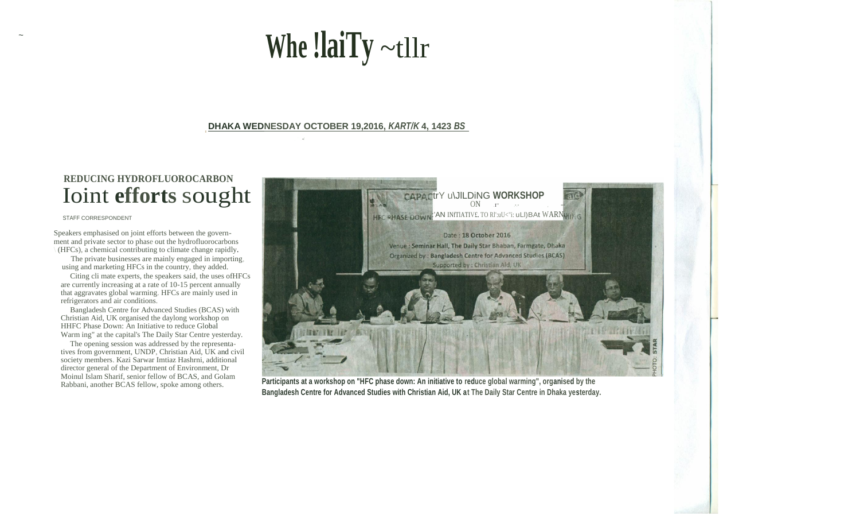# **Whe !laiTy** ~tllr

### **DHAKA WEDNESDAY OCTOBER 19,2016,** *KART/K* **4, 1423** *BS* .

*\_ "'-\_-I.* 

# **REDUCING HYDROFLUOROCARBON**  Ioint **efforts** sought

#### STAFF CORRESPONDENT

 $\ddot{\phantom{0}}$ 

Speakers emphasised on joint efforts between the government and private sector to phase out the hydrofluorocarbons  $(HFCs)$ , a chemical contributing to climate change rapidly.

The private businesses are mainly engaged in importing, using and marketing HFCs in the country, they added.

Citing cli mate experts, the speakers said, the uses ofHFCs are currently increasing at a rate of 10-15 percent annually that aggravates global warming. HFCs are mainly used in refrigerators and air conditions.

Bangladesh Centre for Advanced Studies (BCAS) with Christian Aid, UK organised the daylong workshop on HHFC Phase Down: An Initiative to reduce Global Warm ing" at the capital's The Daily Star Centre yesterday.

The opening session was addressed by the representatives from government, UNDP, Christian Aid, UK and civil society members. Kazi Sarwar Imtiaz Hashrni, additional director general of the Department of Environment, Dr Moinul Islam Sharif, senior fellow of BCAS, and Golam Rabbani, another BCAS fellow, spoke among others.



**Participants at a workshop on "HFC phase down: An initiative to reduce global warming", organised by the Bangladesh Centre for Advanced Studies with Christian Aid, UK at The Daily Star Centre in Dhaka yesterday.**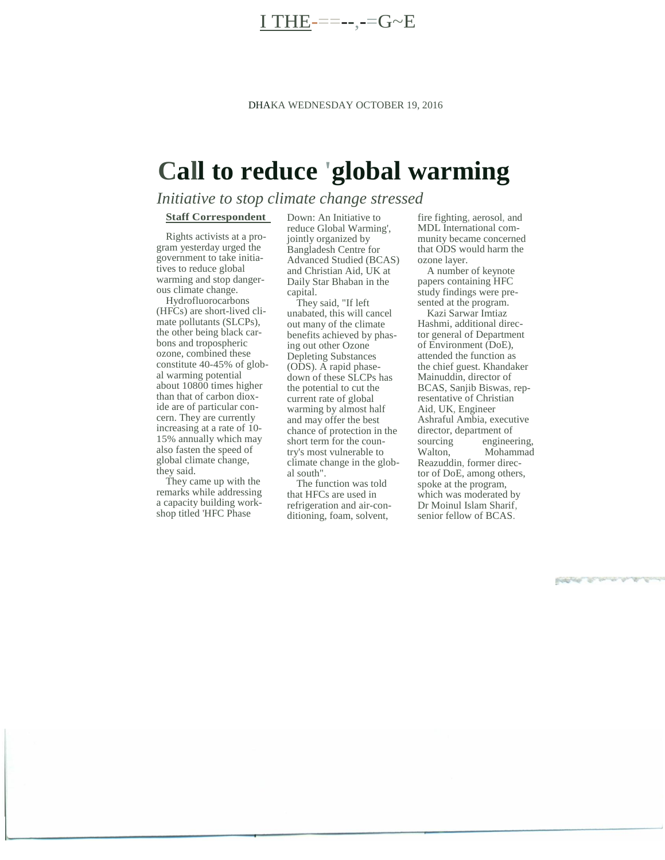$THE-----G-B$ 

# **Call to reduce 'global warming**

## *Initiative to stop climate change stressed*

#### **Staff Correspondent**

Rights activists at a program yesterday urged the government to take initiatives to reduce global warming and stop dangerous climate change.

Hydrofluorocarbons (HFCs) are short-lived climate pollutants (SLCPs), the other being black carbons and tropospheric ozone, combined these constitute 40-45% of global warming potential about 10800 times higher than that of carbon dioxide are of particular concern. They are currently increasing at a rate of 10- 15% annually which may also fasten the speed of global climate change, they said.

They came up with the remarks while addressing a capacity building workshop titled 'HFC Phase

Down: An Initiative to reduce Global Warming', jointly organized by Bangladesh Centre for Advanced Studied (BCAS) and Christian Aid, UK at Daily Star Bhaban in the capital.

They said, "If left unabated, this will cancel out many of the climate benefits achieved by phasing out other Ozone Depleting Substances (ODS). A rapid phasedown of these SLCPs has the potential to cut the current rate of global warming by almost half and may offer the best chance of protection in the short term for the country's most vulnerable to climate change in the global south".

The function was told that HFCs are used in refrigeration and air-conditioning, foam, solvent,

fire fighting, aerosol, and MDL International community became concerned that ODS would harm the ozone layer.

A number of keynote papers containing HFC study findings were presented at the program.

Kazi Sarwar Imtiaz Hashmi, additional director general of Department of Environment (DoE), attended the function as the chief guest. Khandaker Mainuddin, director of BCAS, Sanjib Biswas, representative of Christian Aid, UK, Engineer Ashraful Ambia, executive director, department of<br>sourcing enginee engineering, Walton, Mohammad Reazuddin, former director of DoE, among others, spoke at the program, which was moderated by Dr Moinul Islam Sharif, senior fellow of BCAS.

**Brodge of the commercial**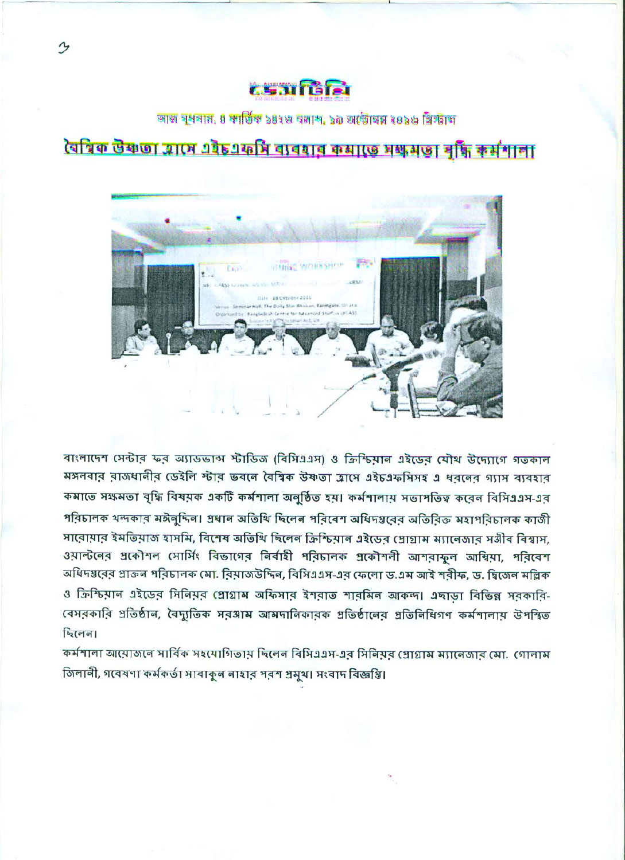# tsafte

আজ বুধবান, ৪ কাৰ্তিক ১৪২৩ বজাশ, ১৯ অৰ্ডোত্ম ২০১৬ খ্ৰিস্টাঙ্গ

ৰৈশ্বিক উষ্ণতা আসে এইচএফসি ব্যবহাৰ ক্ষমতে সক্ষমতা বৃদ্ধি কৰ্মশালা



বাংলাদেশ সেন্টার ফর অ্যাডভান্স স্টাডিজ (বিসিএএস) ও ক্রিশ্চিয়ান এইডেব যৌথ উদ্যোগে গতকাল মঙ্গলবার রাজধানীর ডেইলি স্টার ভবলে বৈশ্বিক উষ্ণতা হ্রাসে এইচএফসিসহ এ ধরনের গ্যাস ব্যবহার কমাতে সক্ষমতা বৃদ্ধি বিষয়ক একটি কর্মশালা অনুষ্ঠিত হয়। কর্মশালায় সভাপতিত্ব করেন বিসিএএস-এর পরিচালক থন্দকার মঈলুদিল। প্রধান অতিথি ছিলেন পরিবেশ অধিদগ্তরের অতিরিক্ত মহাপরিচালক কাজী সাবোয়ার ইমভিয়াজ হাসমি, বিশেষ অভিথি ছিলেন ক্রিশ্চিয়ান এইডের প্রোগ্রাম ম্যানেজার সঙ্গীব বিশ্বাস, ওয়াল্টনের গ্রকৌশল সোর্সিং বিভাগের নির্বাহী পরিচালক গ্রকৌশলী আশরাফুল আম্বিয়া, পরিবেশ অধিদপ্তবের প্রাক্তন পরিচালক মো. বিয়াজউদ্দিন, বিসিএএস-এব ফেলো ড.এম আই শরীফ, ড. দ্বিজেন মল্লিক ও ক্রিশ্চিয়ান এইডের সিনিয়র প্রোগ্রাম অফিসার ইশরাত শারমিন আকন্দ। এছাড়া বিভিন্ন সরকারি-বেসরকারি প্রতিষ্ঠান, বৈদ্যুতিক সরঙ্গাম আমদানিকারক প্রতিষ্ঠানের প্রতিনিধিগণ কর্মশালায় উপস্থিত ছিলেন।

কর্মশালা আয়োজনে সার্বিক সহযোগিতায় ছিলেন বিসিএএস-এর সিনিয়র প্রোগ্রাম ম্যানেজার মো. গোলাম জিলানী, গবেষণা কৰ্মকৰ্তা সাবাকুল লাহাব পৰশ প্ৰমুখ। সংবাদ বিজ্ঞপ্তি।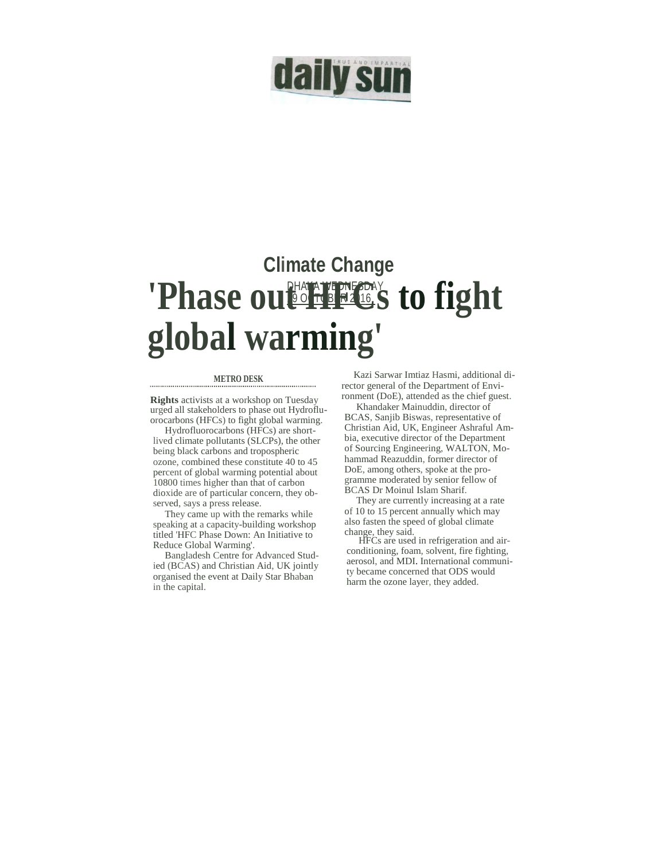

## DHAKA WEDNESDAY 19 OCTOBER 2016 **Climate Change**  'Phase out Heat's to fight **global warming'**

#### **METRO DESK .................................................................................**

**Rights** activists at a workshop on Tuesday urged all stakeholders to phase out Hydrofluorocarbons (HFCs) to fight global warming.

Hydrofluorocarbons (HFCs) are shortlived climate pollutants (SLCPs), the other being black carbons and tropospheric ozone, combined these constitute 40 to 45 percent of global warming potential about 10800 times higher than that of carbon dioxide are of particular concern, they observed, says a press release.

They came up with the remarks while speaking at a capacity-building workshop titled 'HFC Phase Down: An Initiative to Reduce Global Warming'.

Bangladesh Centre for Advanced Studied (BCAS) and Christian Aid, UK jointly organised the event at Daily Star Bhaban in the capital.

Kazi Sarwar Imtiaz Hasmi, additional director general of the Department of Environment (DoE), attended as the chief guest.

Khandaker Mainuddin, director of BCAS, Sanjib Biswas, representative of Christian Aid, UK, Engineer Ashraful Ambia, executive director of the Department of Sourcing Engineering, WALTON, Mohammad Reazuddin, former director of DoE, among others, spoke at the programme moderated by senior fellow of

BCAS Dr Moinul Islam Sharif. They are currently increasing at a rate of 10 to 15 percent annually which may also fasten the speed of global climate change, they said.

HFCs are used in refrigeration and airconditioning, foam, solvent, fire fighting, aerosol, and MDI. International community became concerned that ODS would harm the ozone layer, they added.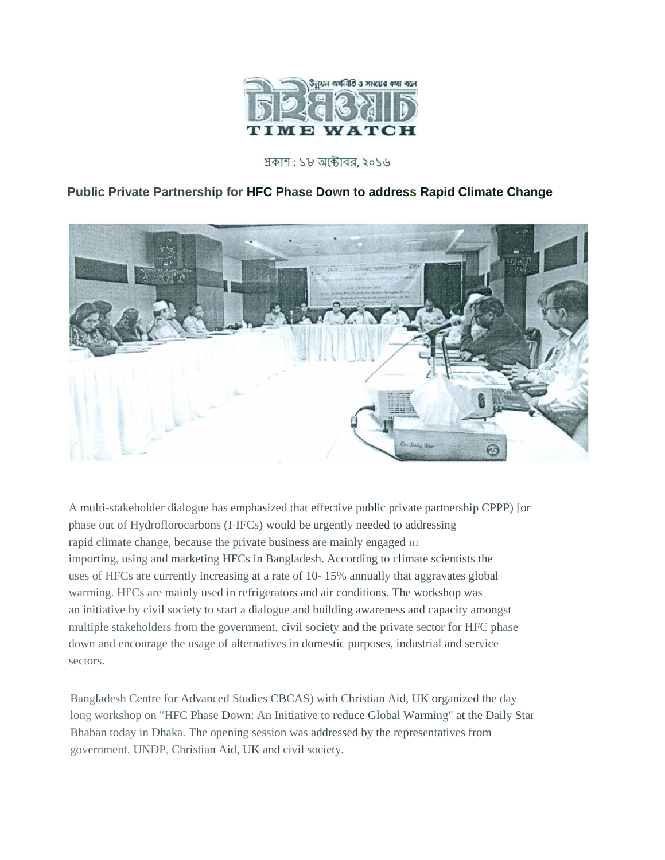

## প্রকাশ : ১৮ অক্টোবর, ২০১৬

## **Public Private Partnership for HFC Phase Down to address Rapid Climate Change**



A multi-stakeholder dialogue has emphasized that effective public private partnership CPPP) [or phase out of Hydroflorocarbons (I-IFCs) would be urgently needed to addressing rapid climate change, because the private business are mainly engaged <sup>111</sup> importing, using and marketing HFCs in Bangladesh. According to climate scientists the uses of HFCs are currently increasing at a rate of 10- 15% annually that aggravates global warming. Hf'Cs are mainly used in refrigerators and air conditions. The workshop was an initiative by civil society to start a dialogue and building awareness and capacity amongst multiple stakeholders from the government, civil society and the private sector for HFC phase down and encourage the usage of alternatives in domestic purposes, industrial and service sectors.

Bangladesh Centre for Advanced Studies CBCAS) with Christian Aid, UK organized the day long workshop on "HFC Phase Down: An Initiative to reduce Global Warming" at the Daily Star Bhaban today in Dhaka. The opening session was addressed by the representatives from government, UNDP, Christian Aid, UK and civil society.